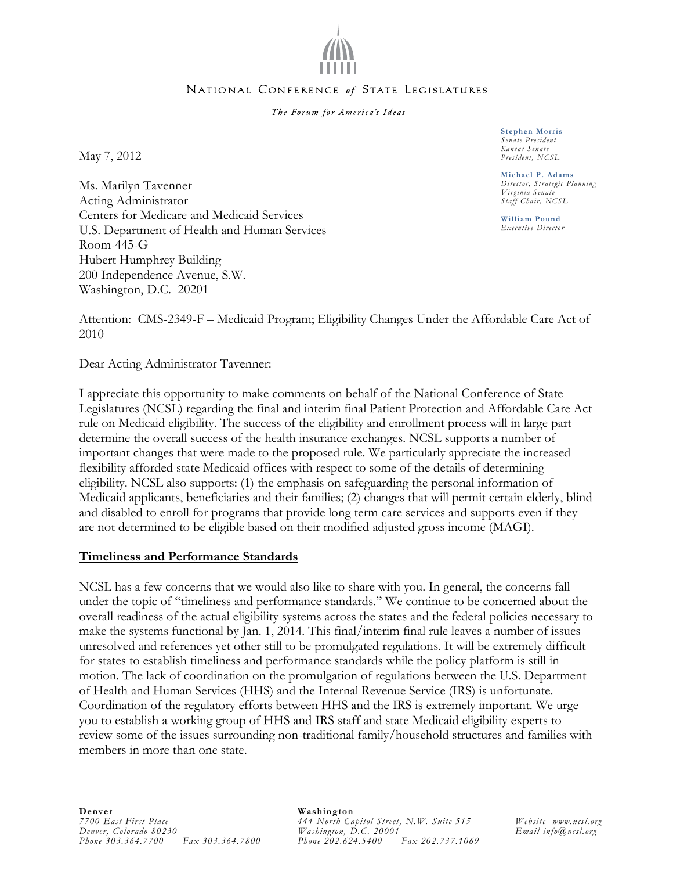

### NATIONAL CONFERENCE of STATE LEGISLATURES

The Forum for America's Ideas

May 7, 2012

Ms. Marilyn Tavenner Acting Administrator Centers for Medicare and Medicaid Services U.S. Department of Health and Human Services Room-445-G Hubert Humphrey Building 200 Independence Avenue, S.W. Washington, D.C. 20201

**Stephen Morris**  *Senate President Kansas Senate President, NCSL* 

**Michael P. Adams**  *Director, Strategic Planning Virginia Senate Staff Chair, NCSL* 

**William Pound**  *Executive Director* 

Attention: CMS-2349-F – Medicaid Program; Eligibility Changes Under the Affordable Care Act of 2010

Dear Acting Administrator Tavenner:

I appreciate this opportunity to make comments on behalf of the National Conference of State Legislatures (NCSL) regarding the final and interim final Patient Protection and Affordable Care Act rule on Medicaid eligibility. The success of the eligibility and enrollment process will in large part determine the overall success of the health insurance exchanges. NCSL supports a number of important changes that were made to the proposed rule. We particularly appreciate the increased flexibility afforded state Medicaid offices with respect to some of the details of determining eligibility. NCSL also supports: (1) the emphasis on safeguarding the personal information of Medicaid applicants, beneficiaries and their families; (2) changes that will permit certain elderly, blind and disabled to enroll for programs that provide long term care services and supports even if they are not determined to be eligible based on their modified adjusted gross income (MAGI).

## **Timeliness and Performance Standards**

NCSL has a few concerns that we would also like to share with you. In general, the concerns fall under the topic of "timeliness and performance standards." We continue to be concerned about the overall readiness of the actual eligibility systems across the states and the federal policies necessary to make the systems functional by Jan. 1, 2014. This final/interim final rule leaves a number of issues unresolved and references yet other still to be promulgated regulations. It will be extremely difficult for states to establish timeliness and performance standards while the policy platform is still in motion. The lack of coordination on the promulgation of regulations between the U.S. Department of Health and Human Services (HHS) and the Internal Revenue Service (IRS) is unfortunate. Coordination of the regulatory efforts between HHS and the IRS is extremely important. We urge you to establish a working group of HHS and IRS staff and state Medicaid eligibility experts to review some of the issues surrounding non-traditional family/household structures and families with members in more than one state.

#### **Denver**  *7700 East First Place Denver, Colorado 80230 Phone 303.364.7700 Fax 303.364.7800*

### **Washington**

*444 North Capitol Street, N.W. Suite 515 Washington, D.C. 20001 Phone 202.624.5400 Fax 202.737.1069* 

*Website www.ncsl.org Email info@ncsl.org*